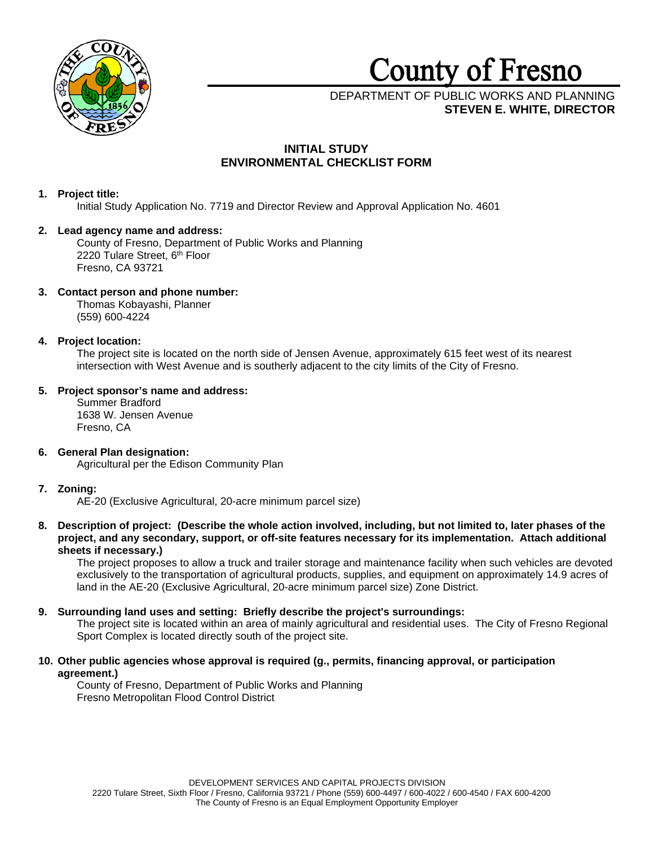

# **County** of **Fresno**

# DEPARTMENT OF PUBLIC WORKS AND PLANNING **STEVEN E. WHITE, DIRECTOR**

# **INITIAL STUDY ENVIRONMENTAL CHECKLIST FORM**

# **1. Project title:**

Initial Study Application No. 7719 and Director Review and Approval Application No. 4601

## **2. Lead agency name and address:**

County of Fresno, Department of Public Works and Planning 2220 Tulare Street, 6<sup>th</sup> Floor Fresno, CA 93721

# **3. Contact person and phone number:**

Thomas Kobayashi, Planner (559) 600-4224

# **4. Project location:**

The project site is located on the north side of Jensen Avenue, approximately 615 feet west of its nearest intersection with West Avenue and is southerly adjacent to the city limits of the City of Fresno.

# **5. Project sponsor's name and address:**

Summer Bradford 1638 W. Jensen Avenue Fresno, CA

# **6. General Plan designation:** Agricultural per the Edison Community Plan

# **7. Zoning:**

AE-20 (Exclusive Agricultural, 20-acre minimum parcel size)

**8. Description of project: (Describe the whole action involved, including, but not limited to, later phases of the project, and any secondary, support, or off-site features necessary for its implementation. Attach additional sheets if necessary.)**

The project proposes to allow a truck and trailer storage and maintenance facility when such vehicles are devoted exclusively to the transportation of agricultural products, supplies, and equipment on approximately 14.9 acres of land in the AE-20 (Exclusive Agricultural, 20-acre minimum parcel size) Zone District.

# **9. Surrounding land uses and setting: Briefly describe the project's surroundings:**

The project site is located within an area of mainly agricultural and residential uses. The City of Fresno Regional Sport Complex is located directly south of the project site.

## **10. Other public agencies whose approval is required (g., permits, financing approval, or participation agreement.)**

County of Fresno, Department of Public Works and Planning Fresno Metropolitan Flood Control District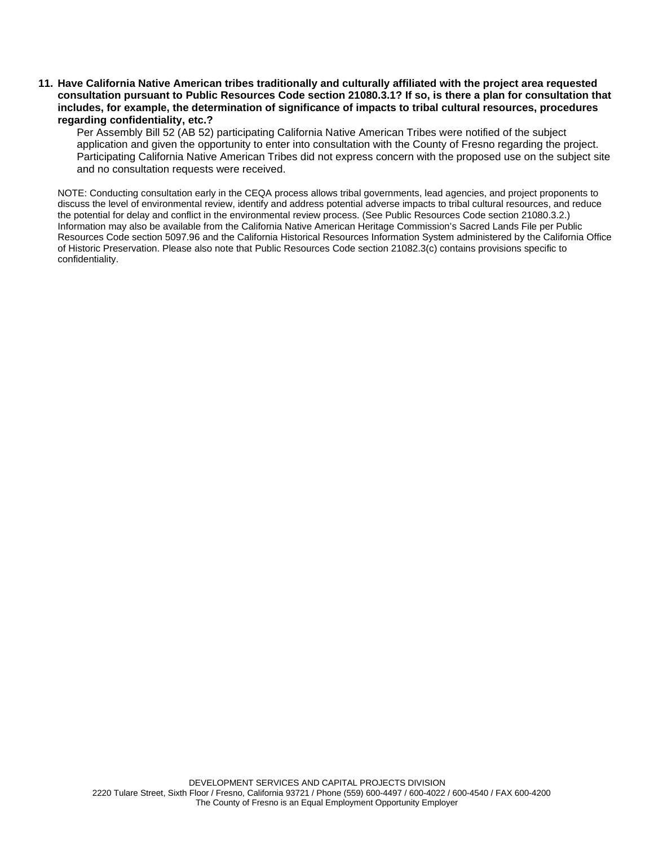**11. Have California Native American tribes traditionally and culturally affiliated with the project area requested consultation pursuant to Public Resources Code section 21080.3.1? If so, is there a plan for consultation that includes, for example, the determination of significance of impacts to tribal cultural resources, procedures regarding confidentiality, etc.?**

Per Assembly Bill 52 (AB 52) participating California Native American Tribes were notified of the subject application and given the opportunity to enter into consultation with the County of Fresno regarding the project. Participating California Native American Tribes did not express concern with the proposed use on the subject site and no consultation requests were received.

NOTE: Conducting consultation early in the CEQA process allows tribal governments, lead agencies, and project proponents to discuss the level of environmental review, identify and address potential adverse impacts to tribal cultural resources, and reduce the potential for delay and conflict in the environmental review process. (See Public Resources Code section 21080.3.2.) Information may also be available from the California Native American Heritage Commission's Sacred Lands File per Public Resources Code section 5097.96 and the California Historical Resources Information System administered by the California Office of Historic Preservation. Please also note that Public Resources Code section 21082.3(c) contains provisions specific to confidentiality.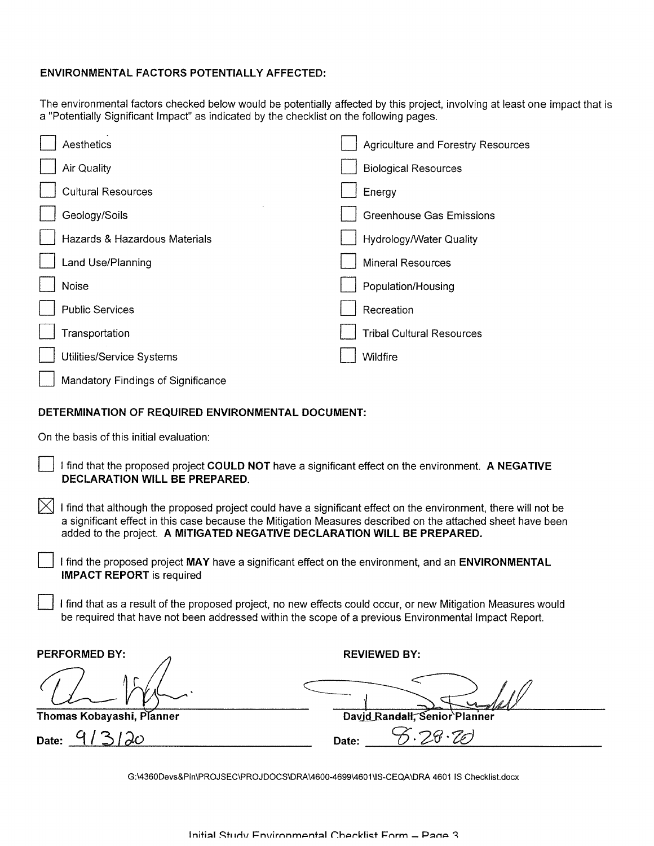## **ENVIRONMENTAL FACTORS POTENTIALLY AFFECTED:**

The environmental factors checked below would be potentially affected by this project, involving at least one impact that is a "Potentially Significant Impact" as indicated by the checklist on the following pages.

| Aesthetics                         | Agriculture and Forestry Resources |
|------------------------------------|------------------------------------|
| Air Quality                        | <b>Biological Resources</b>        |
| <b>Cultural Resources</b>          | Energy                             |
| Geology/Soils                      | <b>Greenhouse Gas Emissions</b>    |
| Hazards & Hazardous Materials      | Hydrology/Water Quality            |
| Land Use/Planning                  | <b>Mineral Resources</b>           |
| Noise                              | Population/Housing                 |
| <b>Public Services</b>             | Recreation                         |
| Transportation                     | <b>Tribal Cultural Resources</b>   |
| Utilities/Service Systems          | Wildfire                           |
| Mandatory Findings of Significance |                                    |

## **DETERMINATION OF REQUIRED ENVIRONMENTAL DOCUMENT:**

On the basis of this initial evaluation:

- D I find that the proposed project **COULD NOT** have a significant effect on the environment. **A NEGATIVE DECLARATION WILL BE PREPARED.**
- $|\!\!\!\times\!\!|$  I find that although the proposed project could have a significant effect on the environment, there will not be a significant effect in this case because the Mitigation Measures described on the attached sheet have been added to the project. **A MITIGATED NEGATIVE DECLARATION WILL BE PREPARED.** 
	- D I find the proposed project **MAY** have a significant effect on the environment, and an **ENVIRONMENTAL IMPACT REPORT** is required
	- I find that as a result of the proposed project, no new effects could occur, or new Mitigation Measures would be required that have not been addressed within the scope of a previous Environmental Impact Report.

**PERFORMED BY:**  $\bigwedge$ 

| Thomas Kobayashi, Planner | David Randall, Senior Planner |
|---------------------------|-------------------------------|
| Date:                     | Date:                         |

G:\4360Devs&PIn\PROJSEC\PROJDOCS\DRA\4600-4699\4601\IS-CEQA\DRA 4601 IS Checklist.docx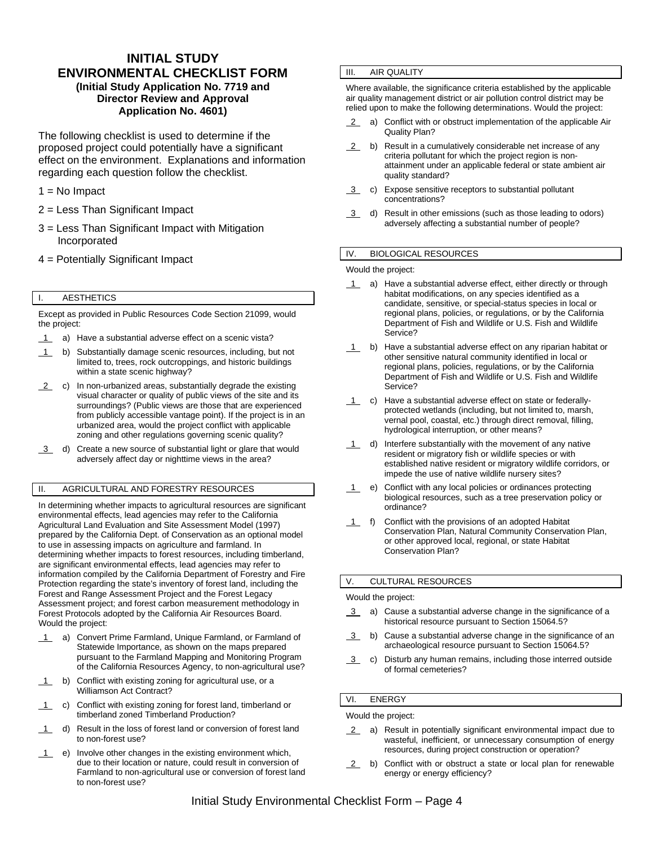# **INITIAL STUDY ENVIRONMENTAL CHECKLIST FORM (Initial Study Application No. 7719 and Director Review and Approval Application No. 4601)**

The following checklist is used to determine if the proposed project could potentially have a significant effect on the environment. Explanations and information regarding each question follow the checklist.

- $1 = No$  Impact
- 2 = Less Than Significant Impact
- 3 = Less Than Significant Impact with Mitigation Incorporated
- 4 = Potentially Significant Impact

## I. AESTHETICS

Except as provided in Public Resources Code Section 21099, would the project:

- 1 a) Have a substantial adverse effect on a scenic vista?
- 1 b) Substantially damage scenic resources, including, but not limited to, trees, rock outcroppings, and historic buildings within a state scenic highway?
- 2 c) In non-urbanized areas, substantially degrade the existing visual character or quality of public views of the site and its surroundings? (Public views are those that are experienced from publicly accessible vantage point). If the project is in an urbanized area, would the project conflict with applicable zoning and other regulations governing scenic quality?
- 3 d) Create a new source of substantial light or glare that would adversely affect day or nighttime views in the area?

## II. AGRICULTURAL AND FORESTRY RESOURCES

In determining whether impacts to agricultural resources are significant environmental effects, lead agencies may refer to the California Agricultural Land Evaluation and Site Assessment Model (1997) prepared by the California Dept. of Conservation as an optional model to use in assessing impacts on agriculture and farmland. In determining whether impacts to forest resources, including timberland, are significant environmental effects, lead agencies may refer to information compiled by the California Department of Forestry and Fire Protection regarding the state's inventory of forest land, including the Forest and Range Assessment Project and the Forest Legacy Assessment project; and forest carbon measurement methodology in Forest Protocols adopted by the California Air Resources Board. Would the project:

- 1 a) Convert Prime Farmland, Unique Farmland, or Farmland of Statewide Importance, as shown on the maps prepared pursuant to the Farmland Mapping and Monitoring Program of the California Resources Agency, to non-agricultural use?
- 1 b) Conflict with existing zoning for agricultural use, or a Williamson Act Contract?
- 1 c) Conflict with existing zoning for forest land, timberland or timberland zoned Timberland Production?
- 1 d) Result in the loss of forest land or conversion of forest land to non-forest use?
- $\overline{1}$  e) Involve other changes in the existing environment which, due to their location or nature, could result in conversion of Farmland to non-agricultural use or conversion of forest land to non-forest use?

## **III.** AIR QUALITY

Where available, the significance criteria established by the applicable air quality management district or air pollution control district may be relied upon to make the following determinations. Would the project:

- 2 a) Conflict with or obstruct implementation of the applicable Air Quality Plan?
- 2 b) Result in a cumulatively considerable net increase of any criteria pollutant for which the project region is nonattainment under an applicable federal or state ambient air quality standard?
- 3 c) Expose sensitive receptors to substantial pollutant concentrations?
- 3 d) Result in other emissions (such as those leading to odors) adversely affecting a substantial number of people?

#### IV. BIOLOGICAL RESOURCES

Would the project:

- 1 a) Have a substantial adverse effect, either directly or through habitat modifications, on any species identified as a candidate, sensitive, or special-status species in local or regional plans, policies, or regulations, or by the California Department of Fish and Wildlife or U.S. Fish and Wildlife Service?
- 1 b) Have a substantial adverse effect on any riparian habitat or other sensitive natural community identified in local or regional plans, policies, regulations, or by the California Department of Fish and Wildlife or U.S. Fish and Wildlife Service?
- 1 c) Have a substantial adverse effect on state or federallyprotected wetlands (including, but not limited to, marsh, vernal pool, coastal, etc.) through direct removal, filling, hydrological interruption, or other means?
- 1 d) Interfere substantially with the movement of any native resident or migratory fish or wildlife species or with established native resident or migratory wildlife corridors, or impede the use of native wildlife nursery sites?
- 1 e) Conflict with any local policies or ordinances protecting biological resources, such as a tree preservation policy or ordinance?
- 1 f) Conflict with the provisions of an adopted Habitat Conservation Plan, Natural Community Conservation Plan, or other approved local, regional, or state Habitat Conservation Plan?

#### V. CULTURAL RESOURCES

#### Would the project:

- 3 a) Cause a substantial adverse change in the significance of a historical resource pursuant to Section 15064.5?
- 3 b) Cause a substantial adverse change in the significance of an archaeological resource pursuant to Section 15064.5?
- 3 c) Disturb any human remains, including those interred outside of formal cemeteries?

## VI. ENERGY

Would the project:

- 2 a) Result in potentially significant environmental impact due to wasteful, inefficient, or unnecessary consumption of energy resources, during project construction or operation?
- 2 b) Conflict with or obstruct a state or local plan for renewable energy or energy efficiency?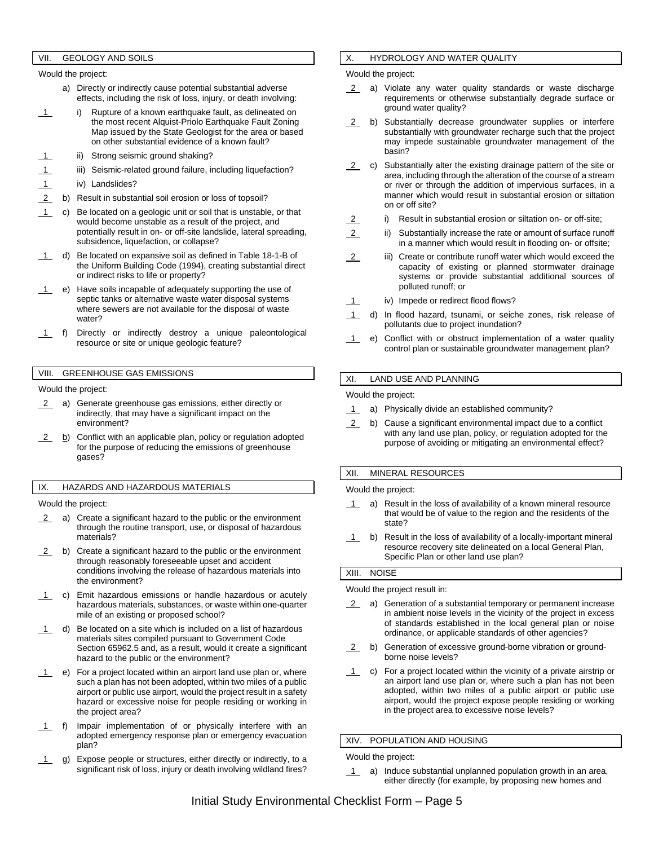## VII. GEOLOGY AND SOILS

Would the project:

- a) Directly or indirectly cause potential substantial adverse effects, including the risk of loss, injury, or death involving:
- 1 i) Rupture of a known earthquake fault, as delineated on the most recent Alquist-Priolo Earthquake Fault Zoning Map issued by the State Geologist for the area or based on other substantial evidence of a known fault?
- ii) Strong seismic ground shaking?
- iii) Seismic-related ground failure, including liquefaction?
- 1 iv) Landslides?
- 2 b) Result in substantial soil erosion or loss of topsoil?
- 1 c) Be located on a geologic unit or soil that is unstable, or that would become unstable as a result of the project, and potentially result in on- or off-site landslide, lateral spreading, subsidence, liquefaction, or collapse?
- d) Be located on expansive soil as defined in Table 18-1-B of the Uniform Building Code (1994), creating substantial direct or indirect risks to life or property?
- 1 e) Have soils incapable of adequately supporting the use of septic tanks or alternative waste water disposal systems where sewers are not available for the disposal of waste water?
- 1 f) Directly or indirectly destroy a unique paleontological resource or site or unique geologic feature?

## VIII. GREENHOUSE GAS EMISSIONS

Would the project:

- 2 a) Generate greenhouse gas emissions, either directly or indirectly, that may have a significant impact on the environment?
- 2 b) Conflict with an applicable plan, policy or regulation adopted for the purpose of reducing the emissions of greenhouse gases?

#### IX. HAZARDS AND HAZARDOUS MATERIALS

Would the project:

- 2 a) Create a significant hazard to the public or the environment through the routine transport, use, or disposal of hazardous materials?
- 2 b) Create a significant hazard to the public or the environment through reasonably foreseeable upset and accident conditions involving the release of hazardous materials into the environment?
- c) Emit hazardous emissions or handle hazardous or acutely hazardous materials, substances, or waste within one-quarter mile of an existing or proposed school?
- $1$  d) Be located on a site which is included on a list of hazardous materials sites compiled pursuant to Government Code Section 65962.5 and, as a result, would it create a significant hazard to the public or the environment?
- 1 e) For a project located within an airport land use plan or, where such a plan has not been adopted, within two miles of a public airport or public use airport, would the project result in a safety hazard or excessive noise for people residing or working in the project area?
- 1 f) Impair implementation of or physically interfere with an adopted emergency response plan or emergency evacuation plan?
- 1 g) Expose people or structures, either directly or indirectly, to a significant risk of loss, injury or death involving wildland fires?

## X. HYDROLOGY AND WATER QUALITY

Would the project:

- 2 a) Violate any water quality standards or waste discharge requirements or otherwise substantially degrade surface or ground water quality?
- 2 b) Substantially decrease groundwater supplies or interfere substantially with groundwater recharge such that the project may impede sustainable groundwater management of the basin?
- 2 c) Substantially alter the existing drainage pattern of the site or area, including through the alteration of the course of a stream or river or through the addition of impervious surfaces, in a manner which would result in substantial erosion or siltation on or off site?
- 2 i) Result in substantial erosion or siltation on- or off-site;
- 2 ii) Substantially increase the rate or amount of surface runoff in a manner which would result in flooding on- or offsite;
- 2 iii) Create or contribute runoff water which would exceed the capacity of existing or planned stormwater drainage systems or provide substantial additional sources of polluted runoff; or
- 1 iv) Impede or redirect flood flows?
- 1 d) In flood hazard, tsunami, or seiche zones, risk release of pollutants due to project inundation?
- 1 e) Conflict with or obstruct implementation of a water quality control plan or sustainable groundwater management plan?

## XI. LAND USE AND PLANNING

Would the project:

- 1 a) Physically divide an established community?
- 2 b) Cause a significant environmental impact due to a conflict with any land use plan, policy, or regulation adopted for the purpose of avoiding or mitigating an environmental effect?

#### XII. MINERAL RESOURCES

Would the project:

- 1 a) Result in the loss of availability of a known mineral resource that would be of value to the region and the residents of the state?
- 1 b) Result in the loss of availability of a locally-important mineral resource recovery site delineated on a local General Plan, Specific Plan or other land use plan?

#### XIII. NOISE

Would the project result in:

- 2 a) Generation of a substantial temporary or permanent increase in ambient noise levels in the vicinity of the project in excess of standards established in the local general plan or noise ordinance, or applicable standards of other agencies?
- 2 b) Generation of excessive ground-borne vibration or groundborne noise levels?
- 1 c) For a project located within the vicinity of a private airstrip or an airport land use plan or, where such a plan has not been adopted, within two miles of a public airport or public use airport, would the project expose people residing or working in the project area to excessive noise levels?

XIV. POPULATION AND HOUSING

Would the project:

1 a) Induce substantial unplanned population growth in an area, either directly (for example, by proposing new homes and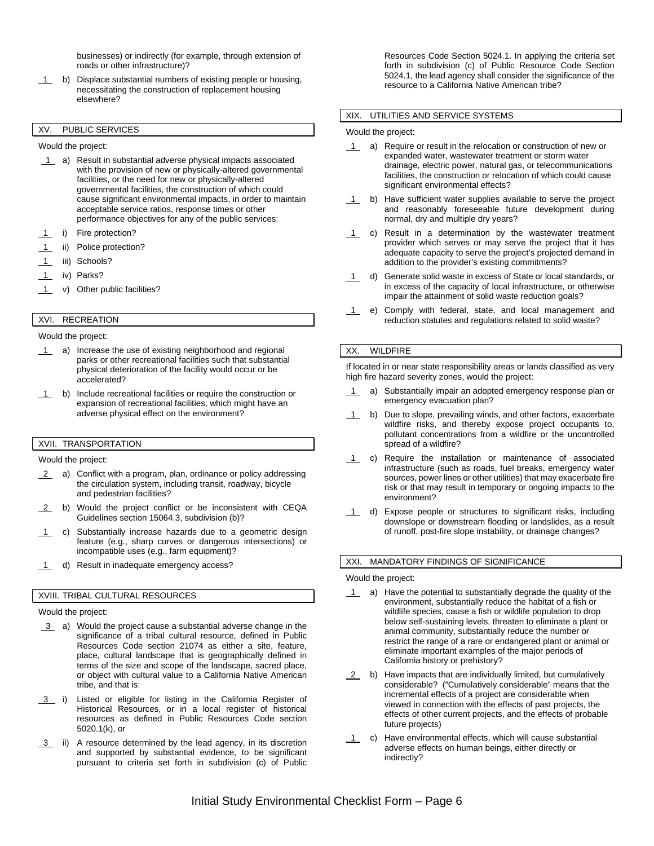businesses) or indirectly (for example, through extension of roads or other infrastructure)?

1 b) Displace substantial numbers of existing people or housing, necessitating the construction of replacement housing elsewhere?

## XV. PUBLIC SERVICES

Would the project:

- 1 a) Result in substantial adverse physical impacts associated with the provision of new or physically-altered governmental facilities, or the need for new or physically-altered governmental facilities, the construction of which could cause significant environmental impacts, in order to maintain acceptable service ratios, response times or other performance objectives for any of the public services:
- i) Fire protection?
- ii) Police protection?
- 1 iii) Schools?
- 1 iv) Parks?
- 1 v) Other public facilities?

## XVI. RECREATION

Would the project:

- 1 a) Increase the use of existing neighborhood and regional parks or other recreational facilities such that substantial physical deterioration of the facility would occur or be accelerated?
- 1 b) Include recreational facilities or require the construction or expansion of recreational facilities, which might have an adverse physical effect on the environment?

## XVII. TRANSPORTATION

Would the project:

- 2 a) Conflict with a program, plan, ordinance or policy addressing the circulation system, including transit, roadway, bicycle and pedestrian facilities?
- 2 b) Would the project conflict or be inconsistent with CEQA Guidelines section 15064.3, subdivision (b)?
- 1 c) Substantially increase hazards due to a geometric design feature (e.g., sharp curves or dangerous intersections) or incompatible uses (e.g., farm equipment)?
- 1 d) Result in inadequate emergency access?

#### XVIII. TRIBAL CULTURAL RESOURCES

Would the project:

- 3 a) Would the project cause a substantial adverse change in the significance of a tribal cultural resource, defined in Public Resources Code section 21074 as either a site, feature, place, cultural landscape that is geographically defined in terms of the size and scope of the landscape, sacred place, or object with cultural value to a California Native American tribe, and that is:
- 3\_ i) Listed or eligible for listing in the California Register of Historical Resources, or in a local register of historical resources as defined in Public Resources Code section 5020.1(k), or
- 3\_ ii) A resource determined by the lead agency, in its discretion and supported by substantial evidence, to be significant pursuant to criteria set forth in subdivision (c) of Public

Resources Code Section 5024.1. In applying the criteria set forth in subdivision (c) of Public Resource Code Section 5024.1, the lead agency shall consider the significance of the resource to a California Native American tribe?

#### XIX. UTILITIES AND SERVICE SYSTEMS

Would the project:

- 1 a) Require or result in the relocation or construction of new or expanded water, wastewater treatment or storm water drainage, electric power, natural gas, or telecommunications facilities, the construction or relocation of which could cause significant environmental effects?
- $\overline{1}$  b) Have sufficient water supplies available to serve the project and reasonably foreseeable future development during normal, dry and multiple dry years?
- 1 c) Result in a determination by the wastewater treatment provider which serves or may serve the project that it has adequate capacity to serve the project's projected demand in addition to the provider's existing commitments?
- 1 d) Generate solid waste in excess of State or local standards, or in excess of the capacity of local infrastructure, or otherwise impair the attainment of solid waste reduction goals?
- 1 e) Comply with federal, state, and local management and reduction statutes and regulations related to solid waste?

#### XX. WILDFIRE

If located in or near state responsibility areas or lands classified as very high fire hazard severity zones, would the project:

- a) Substantially impair an adopted emergency response plan or emergency evacuation plan?
- 1 b) Due to slope, prevailing winds, and other factors, exacerbate wildfire risks, and thereby expose project occupants to, pollutant concentrations from a wildfire or the uncontrolled spread of a wildfire?
- 1 c) Require the installation or maintenance of associated infrastructure (such as roads, fuel breaks, emergency water sources, power lines or other utilities) that may exacerbate fire risk or that may result in temporary or ongoing impacts to the environment?
- 1 d) Expose people or structures to significant risks, including downslope or downstream flooding or landslides, as a result of runoff, post-fire slope instability, or drainage changes?

## XXI. MANDATORY FINDINGS OF SIGNIFICANCE

Would the project:

- 1 a) Have the potential to substantially degrade the quality of the environment, substantially reduce the habitat of a fish or wildlife species, cause a fish or wildlife population to drop below self-sustaining levels, threaten to eliminate a plant or animal community, substantially reduce the number or restrict the range of a rare or endangered plant or animal or eliminate important examples of the major periods of California history or prehistory?
- 2 b) Have impacts that are individually limited, but cumulatively considerable? ("Cumulatively considerable" means that the incremental effects of a project are considerable when viewed in connection with the effects of past projects, the effects of other current projects, and the effects of probable future projects)
- 1 c) Have environmental effects, which will cause substantial adverse effects on human beings, either directly or indirectly?